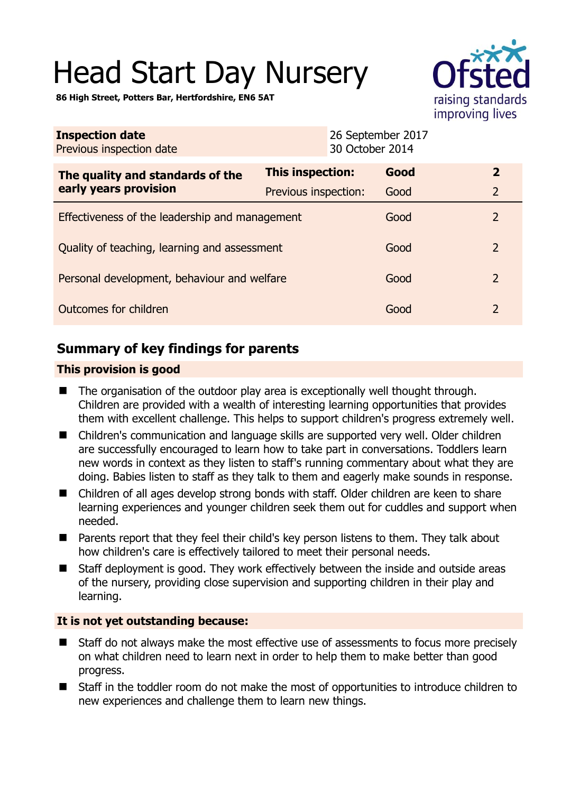# Head Start Day Nursery



**86 High Street, Potters Bar, Hertfordshire, EN6 5AT** 

| <b>Inspection date</b><br>Previous inspection date        | 30 October 2014         | 26 September 2017 |                |
|-----------------------------------------------------------|-------------------------|-------------------|----------------|
| The quality and standards of the<br>early years provision | <b>This inspection:</b> | Good              | $\overline{2}$ |
|                                                           | Previous inspection:    | Good              | $\overline{2}$ |
| Effectiveness of the leadership and management            |                         | Good              | $\overline{2}$ |
| Quality of teaching, learning and assessment              |                         | Good              | $\mathcal{P}$  |
| Personal development, behaviour and welfare               |                         | Good              | $\overline{2}$ |
| Outcomes for children                                     |                         | Good              | 2              |

# **Summary of key findings for parents**

## **This provision is good**

- $\blacksquare$  The organisation of the outdoor play area is exceptionally well thought through. Children are provided with a wealth of interesting learning opportunities that provides them with excellent challenge. This helps to support children's progress extremely well.
- Children's communication and language skills are supported very well. Older children are successfully encouraged to learn how to take part in conversations. Toddlers learn new words in context as they listen to staff's running commentary about what they are doing. Babies listen to staff as they talk to them and eagerly make sounds in response.
- Children of all ages develop strong bonds with staff. Older children are keen to share learning experiences and younger children seek them out for cuddles and support when needed.
- Parents report that they feel their child's key person listens to them. They talk about how children's care is effectively tailored to meet their personal needs.
- Staff deployment is good. They work effectively between the inside and outside areas of the nursery, providing close supervision and supporting children in their play and learning.

## **It is not yet outstanding because:**

- Staff do not always make the most effective use of assessments to focus more precisely on what children need to learn next in order to help them to make better than good progress.
- Staff in the toddler room do not make the most of opportunities to introduce children to new experiences and challenge them to learn new things.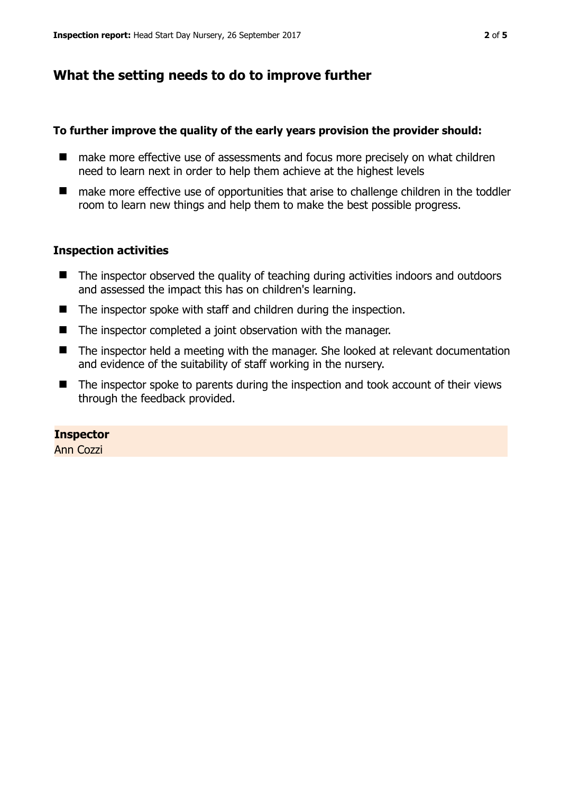# **What the setting needs to do to improve further**

#### **To further improve the quality of the early years provision the provider should:**

- make more effective use of assessments and focus more precisely on what children need to learn next in order to help them achieve at the highest levels
- make more effective use of opportunities that arise to challenge children in the toddler room to learn new things and help them to make the best possible progress.

## **Inspection activities**

- The inspector observed the quality of teaching during activities indoors and outdoors and assessed the impact this has on children's learning.
- The inspector spoke with staff and children during the inspection.
- The inspector completed a joint observation with the manager.
- The inspector held a meeting with the manager. She looked at relevant documentation and evidence of the suitability of staff working in the nursery.
- The inspector spoke to parents during the inspection and took account of their views through the feedback provided.

## **Inspector**

Ann Cozzi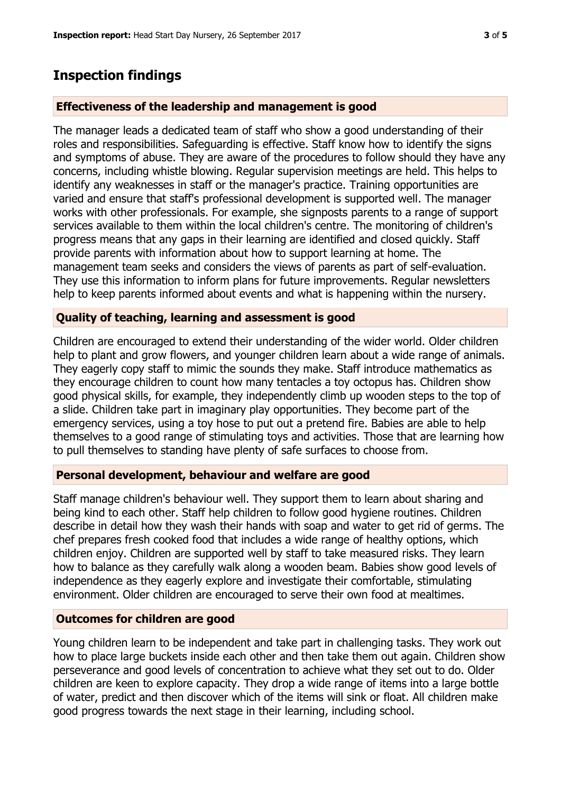## **Inspection findings**

#### **Effectiveness of the leadership and management is good**

The manager leads a dedicated team of staff who show a good understanding of their roles and responsibilities. Safeguarding is effective. Staff know how to identify the signs and symptoms of abuse. They are aware of the procedures to follow should they have any concerns, including whistle blowing. Regular supervision meetings are held. This helps to identify any weaknesses in staff or the manager's practice. Training opportunities are varied and ensure that staff's professional development is supported well. The manager works with other professionals. For example, she signposts parents to a range of support services available to them within the local children's centre. The monitoring of children's progress means that any gaps in their learning are identified and closed quickly. Staff provide parents with information about how to support learning at home. The management team seeks and considers the views of parents as part of self-evaluation. They use this information to inform plans for future improvements. Regular newsletters help to keep parents informed about events and what is happening within the nursery.

#### **Quality of teaching, learning and assessment is good**

Children are encouraged to extend their understanding of the wider world. Older children help to plant and grow flowers, and younger children learn about a wide range of animals. They eagerly copy staff to mimic the sounds they make. Staff introduce mathematics as they encourage children to count how many tentacles a toy octopus has. Children show good physical skills, for example, they independently climb up wooden steps to the top of a slide. Children take part in imaginary play opportunities. They become part of the emergency services, using a toy hose to put out a pretend fire. Babies are able to help themselves to a good range of stimulating toys and activities. Those that are learning how to pull themselves to standing have plenty of safe surfaces to choose from.

#### **Personal development, behaviour and welfare are good**

Staff manage children's behaviour well. They support them to learn about sharing and being kind to each other. Staff help children to follow good hygiene routines. Children describe in detail how they wash their hands with soap and water to get rid of germs. The chef prepares fresh cooked food that includes a wide range of healthy options, which children enjoy. Children are supported well by staff to take measured risks. They learn how to balance as they carefully walk along a wooden beam. Babies show good levels of independence as they eagerly explore and investigate their comfortable, stimulating environment. Older children are encouraged to serve their own food at mealtimes.

#### **Outcomes for children are good**

Young children learn to be independent and take part in challenging tasks. They work out how to place large buckets inside each other and then take them out again. Children show perseverance and good levels of concentration to achieve what they set out to do. Older children are keen to explore capacity. They drop a wide range of items into a large bottle of water, predict and then discover which of the items will sink or float. All children make good progress towards the next stage in their learning, including school.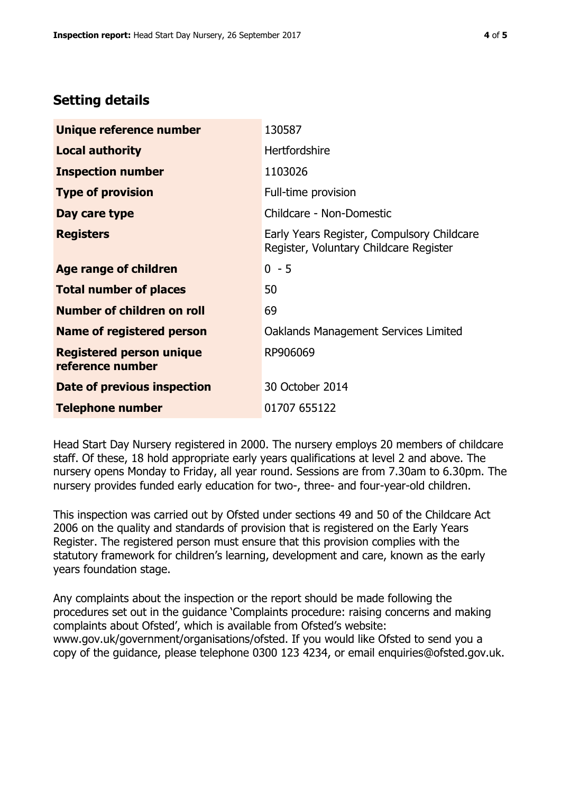# **Setting details**

| Unique reference number                             | 130587                                                                               |  |
|-----------------------------------------------------|--------------------------------------------------------------------------------------|--|
| <b>Local authority</b>                              | <b>Hertfordshire</b>                                                                 |  |
| <b>Inspection number</b>                            | 1103026                                                                              |  |
| <b>Type of provision</b>                            | Full-time provision                                                                  |  |
| Day care type                                       | Childcare - Non-Domestic                                                             |  |
| <b>Registers</b>                                    | Early Years Register, Compulsory Childcare<br>Register, Voluntary Childcare Register |  |
| Age range of children                               | $0 - 5$                                                                              |  |
| <b>Total number of places</b>                       | 50                                                                                   |  |
| Number of children on roll                          | 69                                                                                   |  |
| Name of registered person                           | Oaklands Management Services Limited                                                 |  |
| <b>Registered person unique</b><br>reference number | RP906069                                                                             |  |
| Date of previous inspection                         | 30 October 2014                                                                      |  |
| <b>Telephone number</b>                             | 01707 655122                                                                         |  |

Head Start Day Nursery registered in 2000. The nursery employs 20 members of childcare staff. Of these, 18 hold appropriate early years qualifications at level 2 and above. The nursery opens Monday to Friday, all year round. Sessions are from 7.30am to 6.30pm. The nursery provides funded early education for two-, three- and four-year-old children.

This inspection was carried out by Ofsted under sections 49 and 50 of the Childcare Act 2006 on the quality and standards of provision that is registered on the Early Years Register. The registered person must ensure that this provision complies with the statutory framework for children's learning, development and care, known as the early years foundation stage.

Any complaints about the inspection or the report should be made following the procedures set out in the guidance 'Complaints procedure: raising concerns and making complaints about Ofsted', which is available from Ofsted's website: www.gov.uk/government/organisations/ofsted. If you would like Ofsted to send you a copy of the guidance, please telephone 0300 123 4234, or email enquiries@ofsted.gov.uk.